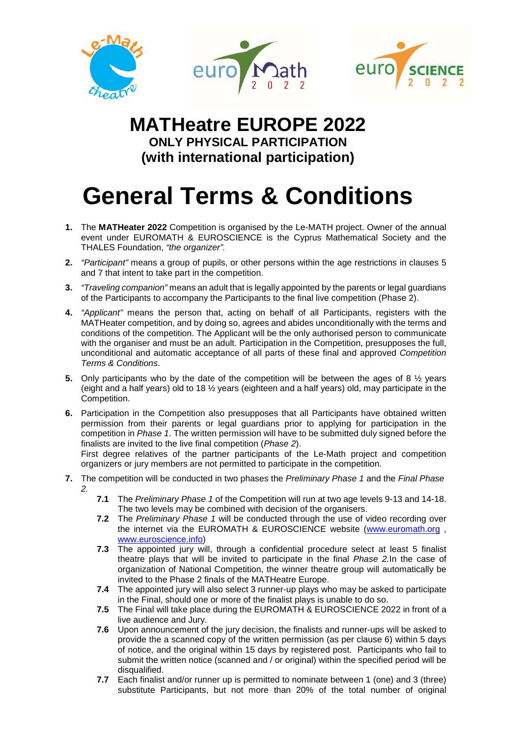



## **MATHeatre EUROPE 2022 ONLY PHYSICAL PARTICIPATION (with international participation)**

## **General Terms & Conditions**

- **1.** The **MATHeater 2022** Competition is organised by the Le-MATH project. Owner of the annual event under EUROMATH & EUROSCIENCE is the Cyprus Mathematical Society and the THALES Foundation, *"the organizer".*
- **2.** *"Participant"* means a group of pupils, or other persons within the age restrictions in clauses 5 and 7 that intent to take part in the competition.
- **3.** *"Traveling companion"* means an adult that is legally appointed by the parents or legal guardians of the Participants to accompany the Participants to the final live competition (Phase 2).
- **4.** *"Applicant"* means the person that, acting on behalf of all Participants, registers with the MATHeater competition, and by doing so, agrees and abides unconditionally with the terms and conditions of the competition. The Applicant will be the only authorised person to communicate with the organiser and must be an adult. Participation in the Competition, presupposes the full, unconditional and automatic acceptance of all parts of these final and approved *Competition Terms & Conditions*.
- **5.** Only participants who by the date of the competition will be between the ages of 8 ½ years (eight and a half years) old to 18 ½ years (eighteen and a half years) old, may participate in the Competition.
- **6.** Participation in the Competition also presupposes that all Participants have obtained written permission from their parents or legal guardians prior to applying for participation in the competition in *Phase 1*. The written permission will have to be submitted duly signed before the finalists are invited to the live final competition (*Phase 2*).

First degree relatives of the partner participants of the Le-Math project and competition organizers or jury members are not permitted to participate in the competition.

- **7.** The competition will be conducted in two phases the *Preliminary Phase 1* and the *Final Phase 2.*
	- **7.1** The *Preliminary Phase 1* of the Competition will run at two age levels 9-13 and 14-18. The two levels may be combined with decision of the organisers.
	- **7.2** The *Preliminary Phase 1* will be conducted through the use of video recording over the internet via the EUROMATH & EUROSCIENCE website [\(www.euromath.org](http://www.euromath.org/) , [www.euroscience.info\)](http://www.euroscience.info/)
	- **7.3** The appointed jury will, through a confidential procedure select at least 5 finalist theatre plays that will be invited to participate in the final *Phase 2.*In the case of organization of National Competition, the winner theatre group will automatically be invited to the Phase 2 finals of the MATHeatre Europe.
	- **7.4** The appointed jury will also select 3 runner-up plays who may be asked to participate in the Final, should one or more of the finalist plays is unable to do so.
	- **7.5** The Final will take place during the EUROMATH & EUROSCIENCE 2022 in front of a live audience and Jury.
	- **7.6** Upon announcement of the jury decision, the finalists and runner-ups will be asked to provide the a scanned copy of the written permission (as per clause 6) within 5 days of notice, and the original within 15 days by registered post. Participants who fail to submit the written notice (scanned and / or original) within the specified period will be disqualified.
	- **7.7** Each finalist and/or runner up is permitted to nominate between 1 (one) and 3 (three) substitute Participants, but not more than 20% of the total number of original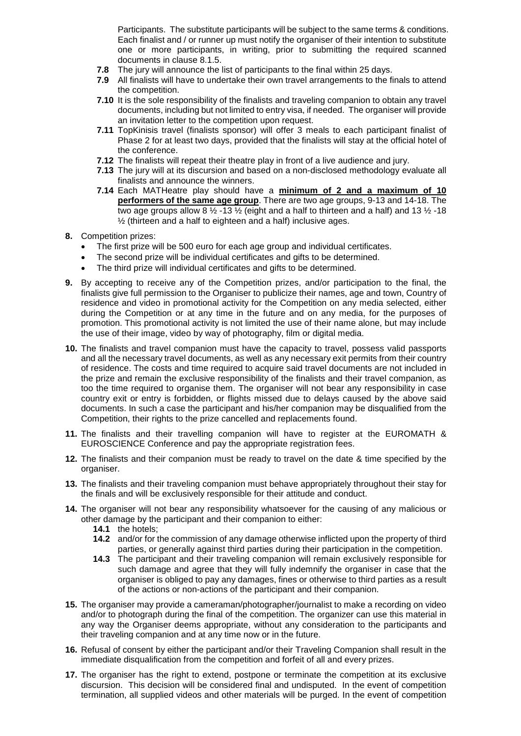Participants. The substitute participants will be subject to the same terms & conditions. Each finalist and / or runner up must notify the organiser of their intention to substitute one or more participants, in writing, prior to submitting the required scanned documents in clause 8.1.5.

- **7.8** The jury will announce the list of participants to the final within 25 days.
- **7.9** All finalists will have to undertake their own travel arrangements to the finals to attend the competition.
- **7.10** It is the sole responsibility of the finalists and traveling companion to obtain any travel documents, including but not limited to entry visa, if needed. The organiser will provide an invitation letter to the competition upon request.
- **7.11** TopKinisis travel (finalists sponsor) will offer 3 meals to each participant finalist of Phase 2 for at least two days, provided that the finalists will stay at the official hotel of the conference.
- **7.12** The finalists will repeat their theatre play in front of a live audience and jury.
- **7.13** The jury will at its discursion and based on a non-disclosed methodology evaluate all finalists and announce the winners.
- **7.14** Each MATHeatre play should have a **minimum of 2 and a maximum of 10 performers of the same age group**. There are two age groups, 9-13 and 14-18. The two age groups allow 8  $\frac{1}{2}$  -13  $\frac{1}{2}$  (eight and a half to thirteen and a half) and 13  $\frac{1}{2}$  -18 ½ (thirteen and a half to eighteen and a half) inclusive ages.
- **8.** Competition prizes:
	- The first prize will be 500 euro for each age group and individual certificates.
	- The second prize will be individual certificates and gifts to be determined.
	- The third prize will individual certificates and gifts to be determined.
- **9.** By accepting to receive any of the Competition prizes, and/or participation to the final, the finalists give full permission to the Organiser to publicize their names, age and town, Country of residence and video in promotional activity for the Competition on any media selected, either during the Competition or at any time in the future and on any media, for the purposes of promotion. This promotional activity is not limited the use of their name alone, but may include the use of their image, video by way of photography, film or digital media.
- **10.** The finalists and travel companion must have the capacity to travel, possess valid passports and all the necessary travel documents, as well as any necessary exit permits from their country of residence. The costs and time required to acquire said travel documents are not included in the prize and remain the exclusive responsibility of the finalists and their travel companion, as too the time required to organise them. The organiser will not bear any responsibility in case country exit or entry is forbidden, or flights missed due to delays caused by the above said documents. In such a case the participant and his/her companion may be disqualified from the Competition, their rights to the prize cancelled and replacements found.
- **11.** The finalists and their travelling companion will have to register at the EUROMATH & EUROSCIENCE Conference and pay the appropriate registration fees.
- **12.** The finalists and their companion must be ready to travel on the date & time specified by the organiser.
- **13.** The finalists and their traveling companion must behave appropriately throughout their stay for the finals and will be exclusively responsible for their attitude and conduct.
- **14.** The organiser will not bear any responsibility whatsoever for the causing of any malicious or other damage by the participant and their companion to either:
	- **14.1** the hotels;
	- **14.2** and/or for the commission of any damage otherwise inflicted upon the property of third parties, or generally against third parties during their participation in the competition.
	- **14.3** The participant and their traveling companion will remain exclusively responsible for such damage and agree that they will fully indemnify the organiser in case that the organiser is obliged to pay any damages, fines or otherwise to third parties as a result of the actions or non-actions of the participant and their companion.
- **15.** The organiser may provide a cameraman/photographer/journalist to make a recording on video and/or to photograph during the final of the competition. The organizer can use this material in any way the Organiser deems appropriate, without any consideration to the participants and their traveling companion and at any time now or in the future.
- **16.** Refusal of consent by either the participant and/or their Traveling Companion shall result in the immediate disqualification from the competition and forfeit of all and every prizes.
- **17.** The organiser has the right to extend, postpone or terminate the competition at its exclusive discursion. This decision will be considered final and undisputed. In the event of competition termination, all supplied videos and other materials will be purged. In the event of competition